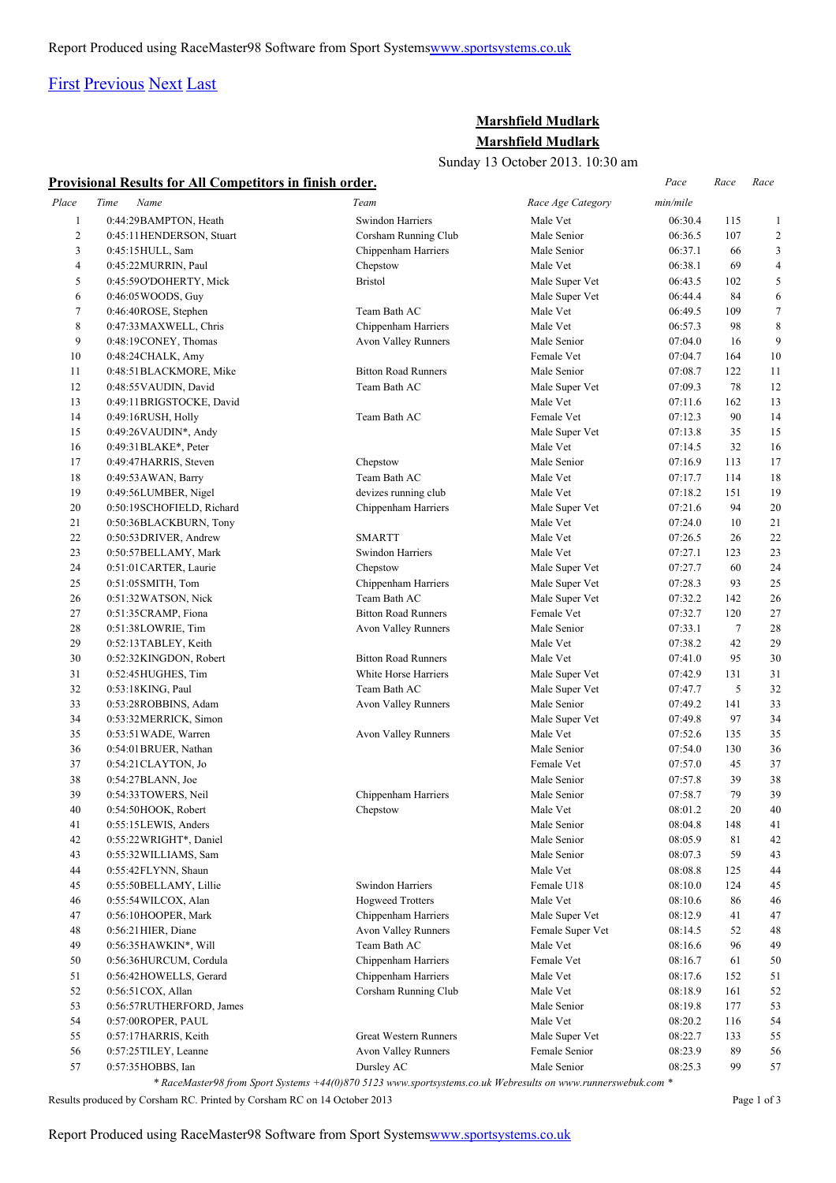## [First](http://www.corshamrunningclub.co.uk/Mudlark/Results/2013/Mudlark.html#) [Previous](http://www.corshamrunningclub.co.uk/Mudlark/Results/2013/Mudlark.html#) [Next](http://www.corshamrunningclub.co.uk/Mudlark/Results/2013/MudlarkPage2.html) [Last](http://www.corshamrunningclub.co.uk/Mudlark/Results/2013/MudlarkPage3.html)

## **Marshfield Mudlark Marshfield Mudlark**

Sunday 13 October 2013. 10:30 am

|                | Provisional Results for All Competitors in finish order. |                                                                                                                            |                   | Pace     | Race   | Race                    |
|----------------|----------------------------------------------------------|----------------------------------------------------------------------------------------------------------------------------|-------------------|----------|--------|-------------------------|
| Place          | Time<br>Name                                             | Team                                                                                                                       | Race Age Category | min/mile |        |                         |
| $\mathbf{1}$   | 0:44:29BAMPTON, Heath                                    | Swindon Harriers                                                                                                           | Male Vet          | 06:30.4  | 115    | 1                       |
| $\overline{c}$ | 0:45:11 HENDERSON, Stuart                                | Corsham Running Club                                                                                                       | Male Senior       | 06:36.5  | 107    | $\overline{\mathbf{c}}$ |
| 3              | 0:45:15 HULL, Sam                                        | Chippenham Harriers                                                                                                        | Male Senior       | 06:37.1  | 66     | 3                       |
| 4              | 0:45:22 MURRIN, Paul                                     | Chepstow                                                                                                                   | Male Vet          | 06:38.1  | 69     | $\overline{4}$          |
| 5              | 0:45:59O'DOHERTY, Mick                                   | <b>Bristol</b>                                                                                                             | Male Super Vet    | 06:43.5  | 102    | 5                       |
| 6              | 0:46:05 WOODS, Guy                                       |                                                                                                                            | Male Super Vet    | 06:44.4  | 84     | 6                       |
| $\tau$         | 0:46:40ROSE, Stephen                                     | Team Bath AC                                                                                                               | Male Vet          | 06:49.5  | 109    | $\tau$                  |
| 8              | 0:47:33MAXWELL, Chris                                    | Chippenham Harriers                                                                                                        | Male Vet          | 06:57.3  | 98     | 8                       |
| 9              | 0:48:19CONEY, Thomas                                     | Avon Valley Runners                                                                                                        | Male Senior       | 07:04.0  | 16     | 9                       |
| $10\,$         | 0:48:24CHALK, Amy                                        |                                                                                                                            | Female Vet        | 07:04.7  | 164    | 10                      |
| 11             | 0:48:51BLACKMORE, Mike                                   | <b>Bitton Road Runners</b>                                                                                                 | Male Senior       | 07:08.7  | 122    | 11                      |
| 12             | 0:48:55 VAUDIN, David                                    | Team Bath AC                                                                                                               | Male Super Vet    | 07:09.3  | 78     | 12                      |
| 13             | 0:49:11BRIGSTOCKE, David                                 |                                                                                                                            | Male Vet          | 07:11.6  | 162    | 13                      |
| 14             | 0:49:16RUSH, Holly                                       | Team Bath AC                                                                                                               | Female Vet        | 07:12.3  | 90     | 14                      |
| 15             | $0:49:26$ VAUDIN*, Andy                                  |                                                                                                                            | Male Super Vet    | 07:13.8  | 35     | 15                      |
| 16             | $0:49:31 \text{BLAKE}^*$ , Peter                         |                                                                                                                            | Male Vet          | 07:14.5  | 32     | 16                      |
| 17             | 0:49:47HARRIS, Steven                                    | Chepstow                                                                                                                   | Male Senior       | 07:16.9  | 113    | 17                      |
| 18             | 0:49:53 AWAN, Barry                                      | Team Bath AC                                                                                                               | Male Vet          | 07:17.7  | 114    | 18                      |
| 19             | 0:49:56LUMBER, Nigel                                     | devizes running club                                                                                                       | Male Vet          | 07:18.2  | 151    | 19                      |
| 20             | 0:50:19SCHOFIELD, Richard                                | Chippenham Harriers                                                                                                        | Male Super Vet    | 07:21.6  | 94     | 20                      |
| 21             | 0:50:36BLACKBURN, Tony                                   |                                                                                                                            | Male Vet          | 07:24.0  | 10     | 21                      |
| 22             | 0:50:53 DRIVER, Andrew                                   | <b>SMARTT</b>                                                                                                              | Male Vet          | 07:26.5  | 26     | 22                      |
| 23             | 0:50:57BELLAMY, Mark                                     | Swindon Harriers                                                                                                           | Male Vet          | 07:27.1  | 123    | 23                      |
| 24             | 0:51:01 CARTER, Laurie                                   | Chepstow                                                                                                                   | Male Super Vet    | 07:27.7  | 60     | 24                      |
| 25             | 0:51:05 SMITH, Tom                                       | Chippenham Harriers                                                                                                        | Male Super Vet    | 07:28.3  | 93     | 25                      |
| 26             | 0:51:32WATSON, Nick                                      | Team Bath AC                                                                                                               | Male Super Vet    | 07:32.2  | 142    | 26                      |
| 27             | 0:51:35CRAMP, Fiona                                      | <b>Bitton Road Runners</b>                                                                                                 | Female Vet        | 07:32.7  | 120    | 27                      |
| 28             | 0:51:38LOWRIE, Tim                                       | Avon Valley Runners                                                                                                        | Male Senior       | 07:33.1  | $\tau$ | 28                      |
| 29             | 0:52:13TABLEY, Keith                                     |                                                                                                                            | Male Vet          | 07:38.2  | 42     | 29                      |
| 30             | 0:52:32KINGDON, Robert                                   | <b>Bitton Road Runners</b>                                                                                                 | Male Vet          | 07:41.0  | 95     | 30                      |
| 31             | 0:52:45HUGHES, Tim                                       | White Horse Harriers                                                                                                       | Male Super Vet    | 07:42.9  | 131    | 31                      |
| 32             | 0:53:18KING, Paul                                        | Team Bath AC                                                                                                               | Male Super Vet    | 07:47.7  | 5      | 32                      |
| 33             | 0:53:28ROBBINS, Adam                                     | Avon Valley Runners                                                                                                        | Male Senior       | 07:49.2  | 141    | 33                      |
| 34             | 0:53:32MERRICK, Simon                                    |                                                                                                                            | Male Super Vet    | 07:49.8  | 97     | 34                      |
| 35             | 0:53:51 WADE, Warren                                     | Avon Valley Runners                                                                                                        | Male Vet          | 07:52.6  | 135    | 35                      |
| 36             | 0:54:01 BRUER, Nathan                                    |                                                                                                                            | Male Senior       | 07:54.0  | 130    | 36                      |
| 37             | 0:54:21CLAYTON, Jo                                       |                                                                                                                            | Female Vet        | 07:57.0  | 45     | 37                      |
| 38             | 0:54:27BLANN, Joe                                        |                                                                                                                            | Male Senior       | 07:57.8  | 39     | 38                      |
| 39             | 0:54:33TOWERS, Neil                                      | Chippenham Harriers                                                                                                        | Male Senior       | 07:58.7  | 79     | 39                      |
| 40             | 0:54:50HOOK, Robert                                      | Chepstow                                                                                                                   | Male Vet          | 08:01.2  | 20     | 40                      |
| 41             | 0:55:15LEWIS, Anders                                     |                                                                                                                            | Male Senior       | 08:04.8  | 148    | 41                      |
| 42             | 0:55:22 WRIGHT*, Daniel                                  |                                                                                                                            | Male Senior       | 08:05.9  | 81     | 42                      |
| 43             | 0:55:32 WILLIAMS, Sam                                    |                                                                                                                            | Male Senior       | 08:07.3  | 59     | 43                      |
| 44             | 0:55:42FLYNN, Shaun                                      |                                                                                                                            | Male Vet          | 08:08.8  | 125    | 44                      |
| 45             | 0:55:50BELLAMY, Lillie                                   | Swindon Harriers                                                                                                           | Female U18        | 08:10.0  | 124    | 45                      |
| 46             | 0:55:54WILCOX, Alan                                      | <b>Hogweed Trotters</b>                                                                                                    | Male Vet          | 08:10.6  | 86     | 46                      |
| 47             | 0:56:10HOOPER, Mark                                      | Chippenham Harriers                                                                                                        | Male Super Vet    | 08:12.9  | 41     | 47                      |
| 48             | 0:56:21 HIER, Diane                                      | <b>Avon Valley Runners</b>                                                                                                 | Female Super Vet  | 08:14.5  | 52     | 48                      |
| 49             | 0:56:35HAWKIN*, Will                                     | Team Bath AC                                                                                                               | Male Vet          | 08:16.6  | 96     | 49                      |
| 50             | 0:56:36HURCUM, Cordula                                   | Chippenham Harriers                                                                                                        | Female Vet        | 08:16.7  | 61     | 50                      |
| 51             |                                                          | Chippenham Harriers                                                                                                        | Male Vet          | 08:17.6  | 152    |                         |
|                | 0:56:42HOWELLS, Gerard                                   |                                                                                                                            |                   |          |        | 51                      |
| 52             | 0:56:51 COX, Allan                                       | Corsham Running Club                                                                                                       | Male Vet          | 08:18.9  | 161    | 52                      |
| 53             | 0:56:57RUTHERFORD, James                                 |                                                                                                                            | Male Senior       | 08:19.8  | 177    | 53                      |
| 54             | 0:57:00ROPER, PAUL                                       |                                                                                                                            | Male Vet          | 08:20.2  | 116    | 54                      |
| 55             | 0:57:17HARRIS, Keith                                     | <b>Great Western Runners</b>                                                                                               | Male Super Vet    | 08:22.7  | 133    | 55                      |
| 56             | 0:57:25TILEY, Leanne                                     | Avon Valley Runners                                                                                                        | Female Senior     | 08:23.9  | 89     | 56                      |
| 57             | 0:57:35HOBBS, Ian                                        | Dursley AC<br>* RaceMaster98 from Sport Systems +44(0)870 5123 www.sportsystems.co.uk Webresults on www.runnerswebuk.com * | Male Senior       | 08:25.3  | 99     | 57                      |

Results produced by Corsham RC. Printed by Corsham RC on 14 October 2013 Page 1 of 3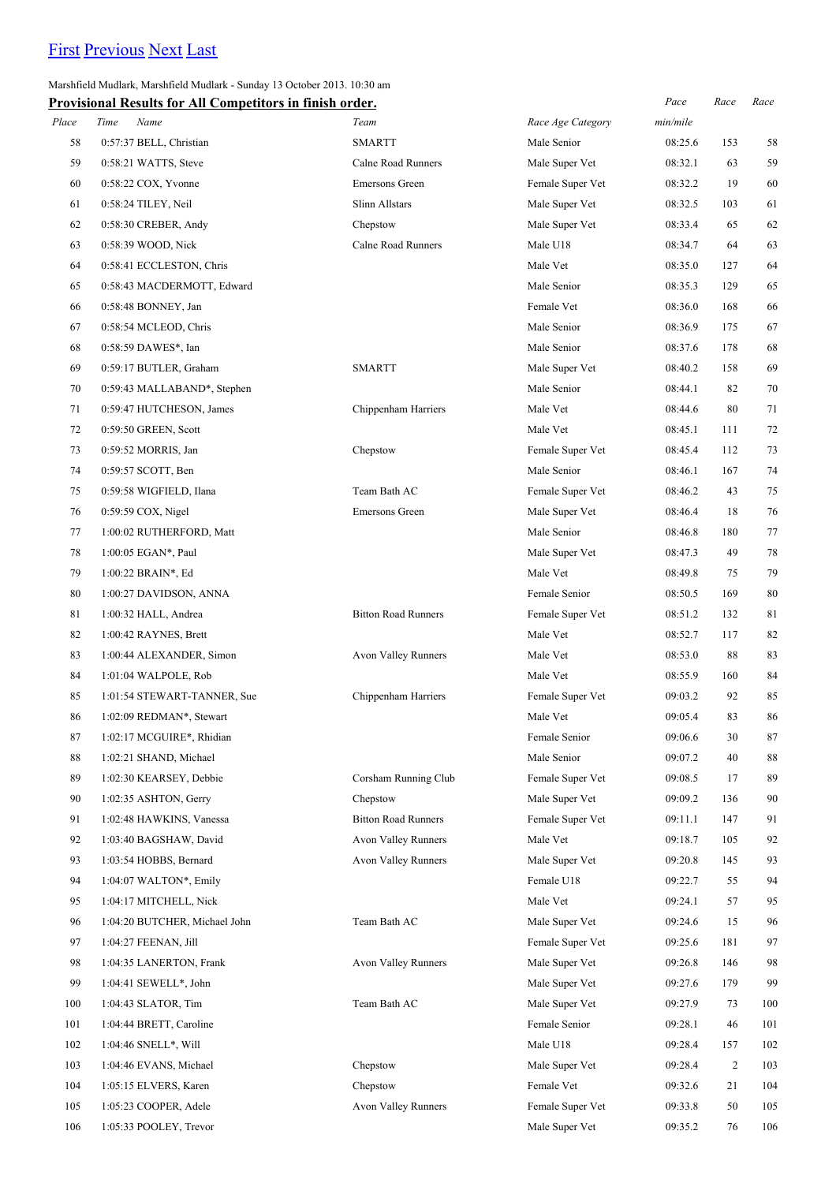# [First](http://www.corshamrunningclub.co.uk/Mudlark/Results/2013/Mudlark.html) [Previous](http://www.corshamrunningclub.co.uk/Mudlark/Results/2013/Mudlark.html) [Next](http://www.corshamrunningclub.co.uk/Mudlark/Results/2013/MudlarkPage3.html) [Last](http://www.corshamrunningclub.co.uk/Mudlark/Results/2013/MudlarkPage3.html)

Marshfield Mudlark, Marshfield Mudlark - Sunday 13 October 2013. 10:30 am

|       | Provisional Results for All Competitors in finish order. |                            |                   | Pace     | Race           | Race |
|-------|----------------------------------------------------------|----------------------------|-------------------|----------|----------------|------|
| Place | Time<br>Name                                             | Team                       | Race Age Category | min/mile |                |      |
| 58    | 0:57:37 BELL, Christian                                  | <b>SMARTT</b>              | Male Senior       | 08:25.6  | 153            | 58   |
| 59    | 0:58:21 WATTS, Steve                                     | Calne Road Runners         | Male Super Vet    | 08:32.1  | 63             | 59   |
| 60    | $0:58:22$ COX, Yvonne                                    | <b>Emersons Green</b>      | Female Super Vet  | 08:32.2  | 19             | 60   |
| 61    | 0:58:24 TILEY, Neil                                      | <b>Slinn Allstars</b>      | Male Super Vet    | 08:32.5  | 103            | 61   |
| 62    | 0:58:30 CREBER, Andy                                     | Chepstow                   | Male Super Vet    | 08:33.4  | 65             | 62   |
| 63    | 0:58:39 WOOD, Nick                                       | <b>Calne Road Runners</b>  | Male U18          | 08:34.7  | 64             | 63   |
| 64    | 0:58:41 ECCLESTON, Chris                                 |                            | Male Vet          | 08:35.0  | 127            | 64   |
| 65    | 0:58:43 MACDERMOTT, Edward                               |                            | Male Senior       | 08:35.3  | 129            | 65   |
| 66    | 0:58:48 BONNEY, Jan                                      |                            | Female Vet        | 08:36.0  | 168            | 66   |
| 67    | 0:58:54 MCLEOD, Chris                                    |                            | Male Senior       | 08:36.9  | 175            | 67   |
| 68    | 0:58:59 DAWES*, Ian                                      |                            | Male Senior       | 08:37.6  | 178            | 68   |
| 69    | 0:59:17 BUTLER, Graham                                   | <b>SMARTT</b>              | Male Super Vet    | 08:40.2  | 158            | 69   |
| 70    | 0:59:43 MALLABAND*, Stephen                              |                            | Male Senior       | 08:44.1  | 82             | 70   |
| 71    | 0:59:47 HUTCHESON, James                                 | Chippenham Harriers        | Male Vet          | 08:44.6  | 80             | 71   |
| 72    | 0:59:50 GREEN, Scott                                     |                            | Male Vet          | 08:45.1  | 111            | 72   |
| 73    | 0:59:52 MORRIS, Jan                                      | Chepstow                   | Female Super Vet  | 08:45.4  | 112            | 73   |
| 74    | 0:59:57 SCOTT, Ben                                       |                            | Male Senior       | 08:46.1  | 167            | 74   |
| 75    | 0:59:58 WIGFIELD, Ilana                                  | Team Bath AC               | Female Super Vet  | 08:46.2  | 43             | 75   |
| 76    | $0:59:59$ COX, Nigel                                     | Emersons Green             | Male Super Vet    | 08:46.4  | 18             | 76   |
| 77    | 1:00:02 RUTHERFORD, Matt                                 |                            | Male Senior       | 08:46.8  | 180            | 77   |
| 78    | 1:00:05 EGAN*, Paul                                      |                            | Male Super Vet    | 08:47.3  | 49             | 78   |
| 79    | 1:00:22 BRAIN*, Ed                                       |                            | Male Vet          | 08:49.8  | 75             | 79   |
| 80    | 1:00:27 DAVIDSON, ANNA                                   |                            | Female Senior     | 08:50.5  | 169            | 80   |
| 81    | 1:00:32 HALL, Andrea                                     | <b>Bitton Road Runners</b> | Female Super Vet  | 08:51.2  | 132            | 81   |
| 82    | 1:00:42 RAYNES, Brett                                    |                            | Male Vet          | 08:52.7  | 117            | 82   |
| 83    | 1:00:44 ALEXANDER, Simon                                 | <b>Avon Valley Runners</b> | Male Vet          | 08:53.0  | 88             | 83   |
| 84    | 1:01:04 WALPOLE, Rob                                     |                            | Male Vet          | 08:55.9  | 160            | 84   |
| 85    | 1:01:54 STEWART-TANNER, Sue                              | Chippenham Harriers        | Female Super Vet  | 09:03.2  | 92             | 85   |
| 86    | 1:02:09 REDMAN*, Stewart                                 |                            | Male Vet          | 09:05.4  | 83             | 86   |
| 87    | 1:02:17 MCGUIRE*, Rhidian                                |                            | Female Senior     | 09:06.6  | 30             | 87   |
| 88    | 1:02:21 SHAND, Michael                                   |                            | Male Senior       | 09:07.2  | 40             | 88   |
| 89    | 1:02:30 KEARSEY, Debbie                                  | Corsham Running Club       | Female Super Vet  | 09:08.5  | 17             | 89   |
| 90    | 1:02:35 ASHTON, Gerry                                    | Chepstow                   | Male Super Vet    | 09:09.2  | 136            | 90   |
| 91    | 1:02:48 HAWKINS, Vanessa                                 | <b>Bitton Road Runners</b> | Female Super Vet  | 09:11.1  | 147            | 91   |
| 92    | 1:03:40 BAGSHAW, David                                   | Avon Valley Runners        | Male Vet          | 09:18.7  | 105            | 92   |
| 93    | 1:03:54 HOBBS, Bernard                                   | Avon Valley Runners        | Male Super Vet    | 09:20.8  | 145            | 93   |
| 94    | 1:04:07 WALTON*, Emily                                   |                            | Female U18        | 09:22.7  | 55             | 94   |
| 95    | 1:04:17 MITCHELL, Nick                                   |                            | Male Vet          | 09:24.1  | 57             | 95   |
| 96    | 1:04:20 BUTCHER, Michael John                            | Team Bath AC               | Male Super Vet    | 09:24.6  | 15             | 96   |
| 97    | 1:04:27 FEENAN, Jill                                     |                            | Female Super Vet  | 09:25.6  | 181            | 97   |
| 98    | 1:04:35 LANERTON, Frank                                  | Avon Valley Runners        | Male Super Vet    | 09:26.8  | 146            | 98   |
| 99    | $1:04:41$ SEWELL*, John                                  |                            | Male Super Vet    | 09:27.6  | 179            | 99   |
| 100   | 1:04:43 SLATOR, Tim                                      | Team Bath AC               | Male Super Vet    | 09:27.9  | 73             | 100  |
| 101   | 1:04:44 BRETT, Caroline                                  |                            | Female Senior     | 09:28.1  | 46             | 101  |
| 102   | 1:04:46 SNELL*, Will                                     |                            | Male U18          | 09:28.4  | 157            | 102  |
| 103   | 1:04:46 EVANS, Michael                                   | Chepstow                   | Male Super Vet    | 09:28.4  | $\overline{2}$ | 103  |
| 104   | 1:05:15 ELVERS, Karen                                    | Chepstow                   | Female Vet        | 09:32.6  | 21             | 104  |
| 105   | 1:05:23 COOPER, Adele                                    | Avon Valley Runners        | Female Super Vet  | 09:33.8  | 50             | 105  |
| 106   | 1:05:33 POOLEY, Trevor                                   |                            | Male Super Vet    | 09:35.2  | 76             | 106  |
|       |                                                          |                            |                   |          |                |      |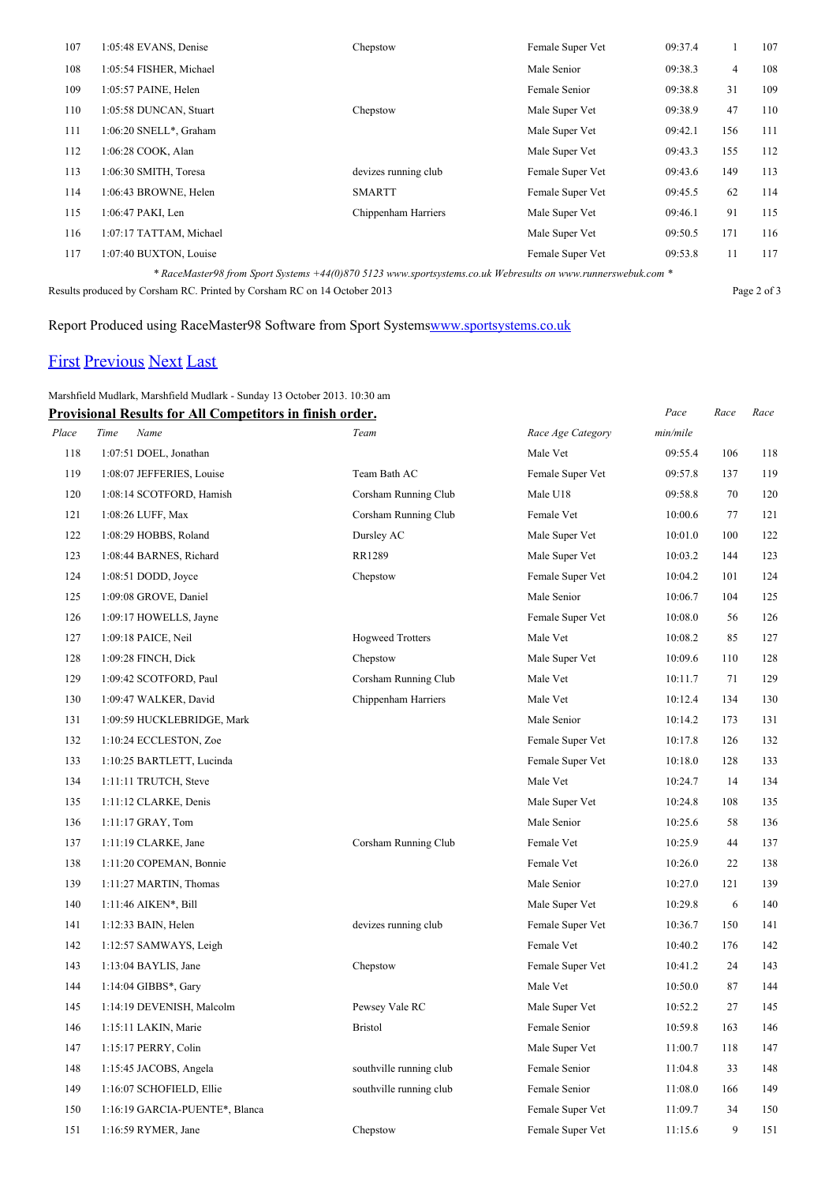| 107 | 1:05:48 EVANS, Denise                                                                                        | Chepstow             | Female Super Vet | 09:37.4 |                | 107 |  |
|-----|--------------------------------------------------------------------------------------------------------------|----------------------|------------------|---------|----------------|-----|--|
| 108 | 1:05:54 FISHER, Michael                                                                                      |                      | Male Senior      | 09:38.3 | $\overline{4}$ | 108 |  |
| 109 | 1:05:57 PAINE, Helen                                                                                         |                      | Female Senior    | 09:38.8 | 31             | 109 |  |
| 110 | 1:05:58 DUNCAN, Stuart                                                                                       | Chepstow             | Male Super Vet   | 09:38.9 | 47             | 110 |  |
| 111 | 1:06:20 SNELL*, Graham                                                                                       |                      | Male Super Vet   | 09:42.1 | 156            | 111 |  |
| 112 | 1:06:28 COOK, Alan                                                                                           |                      | Male Super Vet   | 09:43.3 | 155            | 112 |  |
| 113 | 1:06:30 SMITH, Toresa                                                                                        | devizes running club | Female Super Vet | 09:43.6 | 149            | 113 |  |
| 114 | 1:06:43 BROWNE, Helen                                                                                        | <b>SMARTT</b>        | Female Super Vet | 09:45.5 | 62             | 114 |  |
| 115 | 1:06:47 PAKI, Len                                                                                            | Chippenham Harriers  | Male Super Vet   | 09:46.1 | 91             | 115 |  |
| 116 | 1:07:17 TATTAM, Michael                                                                                      |                      | Male Super Vet   | 09:50.5 | 171            | 116 |  |
| 117 | 1:07:40 BUXTON, Louise                                                                                       |                      | Female Super Vet | 09:53.8 | 11             | 117 |  |
|     | * RaceMaster98 from Sport Systems +44(0)870 5123 www.sportsystems.co.uk Webresults on www.runnerswebuk.com * |                      |                  |         |                |     |  |

Results produced by Corsham RC. Printed by Corsham RC on 14 October 2013 Page 2 of 3

## Report Produced using RaceMaster98 Software from Sport System[swww.sportsystems.co.uk](http://www.sportsystems.co.uk/)

## [First](http://www.corshamrunningclub.co.uk/Mudlark/Results/2013/Mudlark.html) [Previous](http://www.corshamrunningclub.co.uk/Mudlark/Results/2013/MudlarkPage2.html) [Next](http://www.corshamrunningclub.co.uk/Mudlark/Results/2013/MudlarkPage3.html#) [Last](http://www.corshamrunningclub.co.uk/Mudlark/Results/2013/MudlarkPage3.html#)

### Marshfield Mudlark, Marshfield Mudlark - Sunday 13 October 2013. 10:30 am

|       | <b>Provisional Results for All Competitors in finish order.</b> |                         |                   | Pace     | Race | Race |
|-------|-----------------------------------------------------------------|-------------------------|-------------------|----------|------|------|
| Place | Name<br>Time                                                    | Team                    | Race Age Category | min/mile |      |      |
| 118   | 1:07:51 DOEL, Jonathan                                          |                         | Male Vet          | 09:55.4  | 106  | 118  |
| 119   | 1:08:07 JEFFERIES, Louise                                       | Team Bath AC            | Female Super Vet  | 09:57.8  | 137  | 119  |
| 120   | 1:08:14 SCOTFORD, Hamish                                        | Corsham Running Club    | Male U18          | 09:58.8  | 70   | 120  |
| 121   | 1:08:26 LUFF, Max                                               | Corsham Running Club    | Female Vet        | 10:00.6  | 77   | 121  |
| 122   | 1:08:29 HOBBS, Roland                                           | Dursley AC              | Male Super Vet    | 10:01.0  | 100  | 122  |
| 123   | 1:08:44 BARNES, Richard                                         | RR1289                  | Male Super Vet    | 10:03.2  | 144  | 123  |
| 124   | $1:08:51$ DODD, Joyce                                           | Chepstow                | Female Super Vet  | 10:04.2  | 101  | 124  |
| 125   | 1:09:08 GROVE, Daniel                                           |                         | Male Senior       | 10:06.7  | 104  | 125  |
| 126   | 1:09:17 HOWELLS, Jayne                                          |                         | Female Super Vet  | 10:08.0  | 56   | 126  |
| 127   | 1:09:18 PAICE, Neil                                             | <b>Hogweed Trotters</b> | Male Vet          | 10:08.2  | 85   | 127  |
| 128   | 1:09:28 FINCH, Dick                                             | Chepstow                | Male Super Vet    | 10:09.6  | 110  | 128  |
| 129   | 1:09:42 SCOTFORD, Paul                                          | Corsham Running Club    | Male Vet          | 10:11.7  | 71   | 129  |
| 130   | 1:09:47 WALKER, David                                           | Chippenham Harriers     | Male Vet          | 10:12.4  | 134  | 130  |
| 131   | 1:09:59 HUCKLEBRIDGE, Mark                                      |                         | Male Senior       | 10:14.2  | 173  | 131  |
| 132   | 1:10:24 ECCLESTON, Zoe                                          |                         | Female Super Vet  | 10:17.8  | 126  | 132  |
| 133   | 1:10:25 BARTLETT, Lucinda                                       |                         | Female Super Vet  | 10:18.0  | 128  | 133  |
| 134   | 1:11:11 TRUTCH, Steve                                           |                         | Male Vet          | 10:24.7  | 14   | 134  |
| 135   | 1:11:12 CLARKE, Denis                                           |                         | Male Super Vet    | 10:24.8  | 108  | 135  |
| 136   | 1:11:17 GRAY, Tom                                               |                         | Male Senior       | 10:25.6  | 58   | 136  |
| 137   | 1:11:19 CLARKE, Jane                                            | Corsham Running Club    | Female Vet        | 10:25.9  | 44   | 137  |
| 138   | 1:11:20 COPEMAN, Bonnie                                         |                         | Female Vet        | 10:26.0  | 22   | 138  |
| 139   | 1:11:27 MARTIN, Thomas                                          |                         | Male Senior       | 10:27.0  | 121  | 139  |
| 140   | 1:11:46 AIKEN*, Bill                                            |                         | Male Super Vet    | 10:29.8  | 6    | 140  |
| 141   | 1:12:33 BAIN, Helen                                             | devizes running club    | Female Super Vet  | 10:36.7  | 150  | 141  |
| 142   | 1:12:57 SAMWAYS, Leigh                                          |                         | Female Vet        | 10:40.2  | 176  | 142  |
| 143   | 1:13:04 BAYLIS, Jane                                            | Chepstow                | Female Super Vet  | 10:41.2  | 24   | 143  |
| 144   | 1:14:04 GIBBS*, Gary                                            |                         | Male Vet          | 10:50.0  | 87   | 144  |
| 145   | 1:14:19 DEVENISH, Malcolm                                       | Pewsey Vale RC          | Male Super Vet    | 10:52.2  | 27   | 145  |
| 146   | 1:15:11 LAKIN, Marie                                            | <b>Bristol</b>          | Female Senior     | 10:59.8  | 163  | 146  |
| 147   | 1:15:17 PERRY, Colin                                            |                         | Male Super Vet    | 11:00.7  | 118  | 147  |
| 148   | 1:15:45 JACOBS, Angela                                          | southville running club | Female Senior     | 11:04.8  | 33   | 148  |
| 149   | 1:16:07 SCHOFIELD, Ellie                                        | southville running club | Female Senior     | 11:08.0  | 166  | 149  |
| 150   | 1:16:19 GARCIA-PUENTE*, Blanca                                  |                         | Female Super Vet  | 11:09.7  | 34   | 150  |
| 151   | $1:16:59$ RYMER, Jane                                           | Chepstow                | Female Super Vet  | 11:15.6  | 9    | 151  |